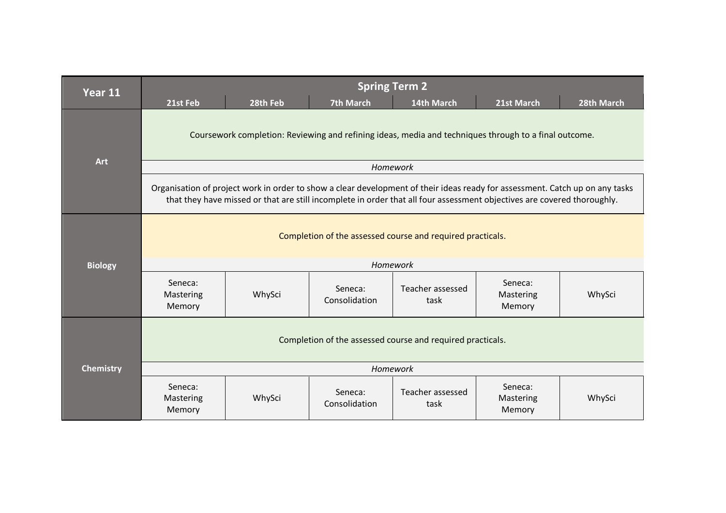| Year 11          | <b>Spring Term 2</b>                                                                                                                                                                                                                                    |          |                          |                          |                                |            |  |
|------------------|---------------------------------------------------------------------------------------------------------------------------------------------------------------------------------------------------------------------------------------------------------|----------|--------------------------|--------------------------|--------------------------------|------------|--|
|                  | 21st Feb                                                                                                                                                                                                                                                | 28th Feb | <b>7th March</b>         | 14th March               | 21st March                     | 28th March |  |
|                  | Coursework completion: Reviewing and refining ideas, media and techniques through to a final outcome.                                                                                                                                                   |          |                          |                          |                                |            |  |
| Art              |                                                                                                                                                                                                                                                         |          | Homework                 |                          |                                |            |  |
|                  | Organisation of project work in order to show a clear development of their ideas ready for assessment. Catch up on any tasks<br>that they have missed or that are still incomplete in order that all four assessment objectives are covered thoroughly. |          |                          |                          |                                |            |  |
|                  | Completion of the assessed course and required practicals.                                                                                                                                                                                              |          |                          |                          |                                |            |  |
| <b>Biology</b>   | Homework                                                                                                                                                                                                                                                |          |                          |                          |                                |            |  |
|                  | Seneca:<br>Mastering<br>Memory                                                                                                                                                                                                                          | WhySci   | Seneca:<br>Consolidation | Teacher assessed<br>task | Seneca:<br>Mastering<br>Memory | WhySci     |  |
|                  | Completion of the assessed course and required practicals.                                                                                                                                                                                              |          |                          |                          |                                |            |  |
| <b>Chemistry</b> | Homework                                                                                                                                                                                                                                                |          |                          |                          |                                |            |  |
|                  | Seneca:<br>Mastering<br>Memory                                                                                                                                                                                                                          | WhySci   | Seneca:<br>Consolidation | Teacher assessed<br>task | Seneca:<br>Mastering<br>Memory | WhySci     |  |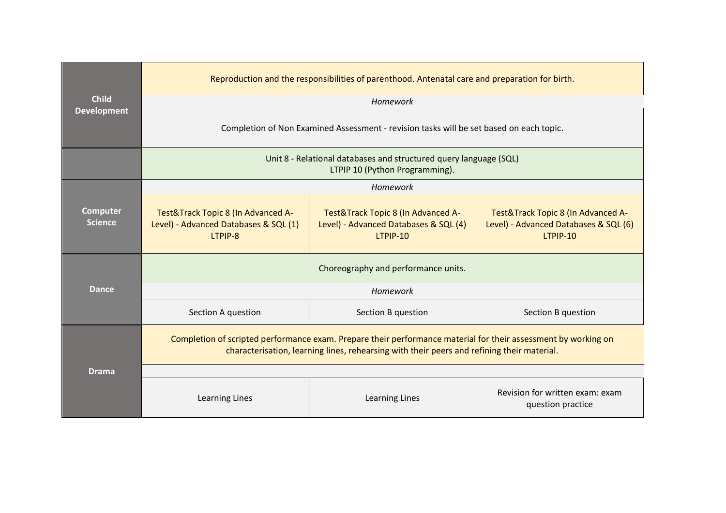|                                    | Reproduction and the responsibilities of parenthood. Antenatal care and preparation for birth.                                                                                                               |                                                                                         |                                                                                         |  |  |  |
|------------------------------------|--------------------------------------------------------------------------------------------------------------------------------------------------------------------------------------------------------------|-----------------------------------------------------------------------------------------|-----------------------------------------------------------------------------------------|--|--|--|
| <b>Child</b><br><b>Development</b> | Homework                                                                                                                                                                                                     |                                                                                         |                                                                                         |  |  |  |
|                                    | Completion of Non Examined Assessment - revision tasks will be set based on each topic.                                                                                                                      |                                                                                         |                                                                                         |  |  |  |
|                                    | Unit 8 - Relational databases and structured query language (SQL)<br>LTPIP 10 (Python Programming).                                                                                                          |                                                                                         |                                                                                         |  |  |  |
|                                    |                                                                                                                                                                                                              | Homework                                                                                |                                                                                         |  |  |  |
| <b>Computer</b><br><b>Science</b>  | Test&Track Topic 8 (In Advanced A-<br>Level) - Advanced Databases & SQL (1)<br>LTPIP-8                                                                                                                       | Test&Track Topic 8 (In Advanced A-<br>Level) - Advanced Databases & SQL (4)<br>LTPIP-10 | Test&Track Topic 8 (In Advanced A-<br>Level) - Advanced Databases & SQL (6)<br>LTPIP-10 |  |  |  |
|                                    | Choreography and performance units.                                                                                                                                                                          |                                                                                         |                                                                                         |  |  |  |
| <b>Dance</b>                       | Homework                                                                                                                                                                                                     |                                                                                         |                                                                                         |  |  |  |
|                                    | Section A question                                                                                                                                                                                           | Section B question                                                                      | Section B question                                                                      |  |  |  |
|                                    | Completion of scripted performance exam. Prepare their performance material for their assessment by working on<br>characterisation, learning lines, rehearsing with their peers and refining their material. |                                                                                         |                                                                                         |  |  |  |
| <b>Drama</b>                       |                                                                                                                                                                                                              |                                                                                         |                                                                                         |  |  |  |
|                                    | Learning Lines                                                                                                                                                                                               | Learning Lines                                                                          | Revision for written exam: exam<br>question practice                                    |  |  |  |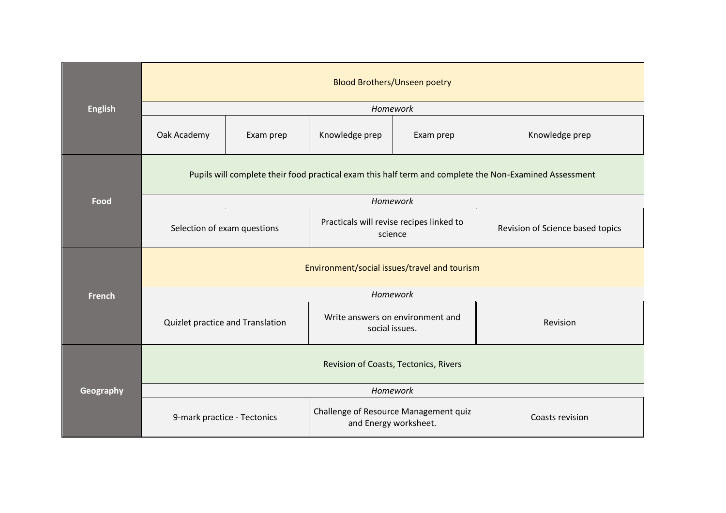| <b>English</b> | <b>Blood Brothers/Unseen poetry</b>                                                                    |           |                                                                |           |                                  |  |  |
|----------------|--------------------------------------------------------------------------------------------------------|-----------|----------------------------------------------------------------|-----------|----------------------------------|--|--|
|                | Homework                                                                                               |           |                                                                |           |                                  |  |  |
|                | Oak Academy                                                                                            | Exam prep | Knowledge prep                                                 | Exam prep | Knowledge prep                   |  |  |
|                | Pupils will complete their food practical exam this half term and complete the Non-Examined Assessment |           |                                                                |           |                                  |  |  |
| Food           |                                                                                                        |           | Homework                                                       |           |                                  |  |  |
|                | Selection of exam questions                                                                            |           | Practicals will revise recipes linked to<br>science            |           | Revision of Science based topics |  |  |
|                | Environment/social issues/travel and tourism                                                           |           |                                                                |           |                                  |  |  |
| French         | Homework                                                                                               |           |                                                                |           |                                  |  |  |
|                | Quizlet practice and Translation                                                                       |           | Write answers on environment and<br>social issues.             |           | Revision                         |  |  |
| Geography      | Revision of Coasts, Tectonics, Rivers                                                                  |           |                                                                |           |                                  |  |  |
|                |                                                                                                        |           |                                                                |           |                                  |  |  |
|                | 9-mark practice - Tectonics                                                                            |           | Challenge of Resource Management quiz<br>and Energy worksheet. |           | Coasts revision                  |  |  |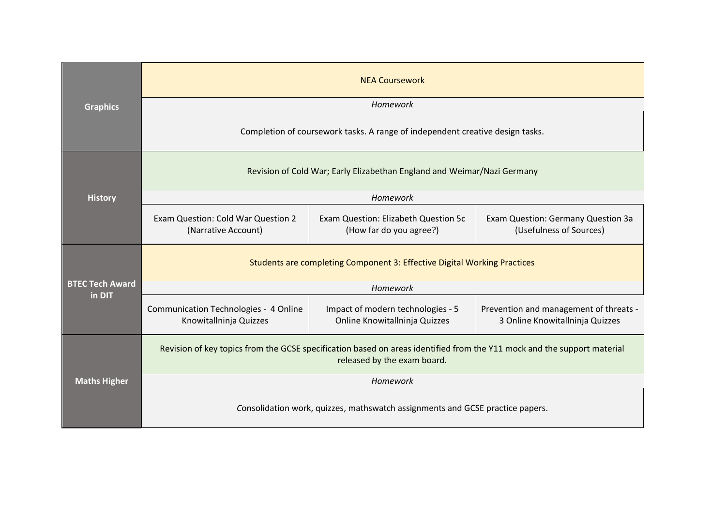| <b>Graphics</b>                  | <b>NEA Coursework</b>                                                                                                                                  |                                                                    |                                                                           |  |  |  |
|----------------------------------|--------------------------------------------------------------------------------------------------------------------------------------------------------|--------------------------------------------------------------------|---------------------------------------------------------------------------|--|--|--|
|                                  | Homework                                                                                                                                               |                                                                    |                                                                           |  |  |  |
|                                  | Completion of coursework tasks. A range of independent creative design tasks.                                                                          |                                                                    |                                                                           |  |  |  |
|                                  | Revision of Cold War; Early Elizabethan England and Weimar/Nazi Germany                                                                                |                                                                    |                                                                           |  |  |  |
| <b>History</b>                   |                                                                                                                                                        | Homework                                                           |                                                                           |  |  |  |
|                                  | Exam Question: Cold War Question 2<br>(Narrative Account)                                                                                              | Exam Question: Elizabeth Question 5c<br>(How far do you agree?)    | Exam Question: Germany Question 3a<br>(Usefulness of Sources)             |  |  |  |
|                                  | Students are completing Component 3: Effective Digital Working Practices                                                                               |                                                                    |                                                                           |  |  |  |
| <b>BTEC Tech Award</b><br>in DIT | Homework                                                                                                                                               |                                                                    |                                                                           |  |  |  |
|                                  | Communication Technologies - 4 Online<br>Knowitallninja Quizzes                                                                                        | Impact of modern technologies - 5<br>Online Knowitallninja Quizzes | Prevention and management of threats -<br>3 Online Knowitallninja Quizzes |  |  |  |
| <b>Maths Higher</b>              | Revision of key topics from the GCSE specification based on areas identified from the Y11 mock and the support material<br>released by the exam board. |                                                                    |                                                                           |  |  |  |
|                                  | Homework                                                                                                                                               |                                                                    |                                                                           |  |  |  |
|                                  | Consolidation work, quizzes, mathswatch assignments and GCSE practice papers.                                                                          |                                                                    |                                                                           |  |  |  |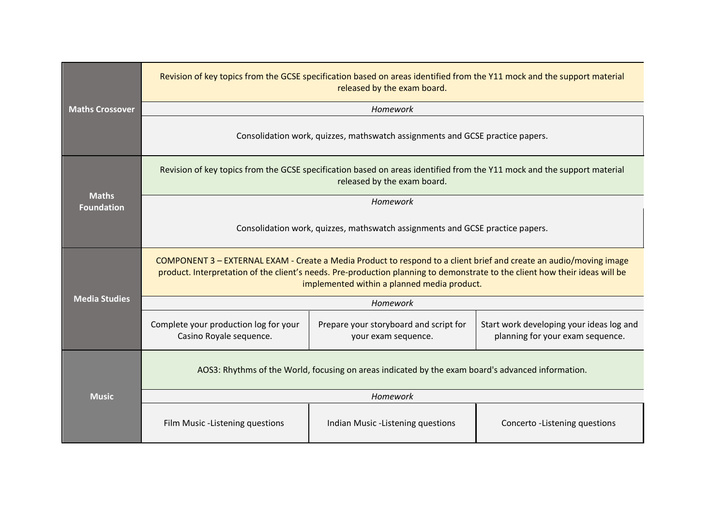|                                   | Revision of key topics from the GCSE specification based on areas identified from the Y11 mock and the support material<br>released by the exam board.                                                                                                                                           |                                                               |                                                                              |  |  |  |
|-----------------------------------|--------------------------------------------------------------------------------------------------------------------------------------------------------------------------------------------------------------------------------------------------------------------------------------------------|---------------------------------------------------------------|------------------------------------------------------------------------------|--|--|--|
| <b>Maths Crossover</b>            |                                                                                                                                                                                                                                                                                                  | Homework                                                      |                                                                              |  |  |  |
|                                   | Consolidation work, quizzes, mathswatch assignments and GCSE practice papers.                                                                                                                                                                                                                    |                                                               |                                                                              |  |  |  |
|                                   | Revision of key topics from the GCSE specification based on areas identified from the Y11 mock and the support material<br>released by the exam board.                                                                                                                                           |                                                               |                                                                              |  |  |  |
| <b>Maths</b><br><b>Foundation</b> |                                                                                                                                                                                                                                                                                                  | Homework                                                      |                                                                              |  |  |  |
|                                   | Consolidation work, quizzes, mathswatch assignments and GCSE practice papers.                                                                                                                                                                                                                    |                                                               |                                                                              |  |  |  |
|                                   | COMPONENT 3 - EXTERNAL EXAM - Create a Media Product to respond to a client brief and create an audio/moving image<br>product. Interpretation of the client's needs. Pre-production planning to demonstrate to the client how their ideas will be<br>implemented within a planned media product. |                                                               |                                                                              |  |  |  |
| <b>Media Studies</b>              | Homework                                                                                                                                                                                                                                                                                         |                                                               |                                                                              |  |  |  |
|                                   | Complete your production log for your<br>Casino Royale sequence.                                                                                                                                                                                                                                 | Prepare your storyboard and script for<br>your exam sequence. | Start work developing your ideas log and<br>planning for your exam sequence. |  |  |  |
| <b>Music</b>                      | AOS3: Rhythms of the World, focusing on areas indicated by the exam board's advanced information.                                                                                                                                                                                                |                                                               |                                                                              |  |  |  |
|                                   | Homework                                                                                                                                                                                                                                                                                         |                                                               |                                                                              |  |  |  |
|                                   | Film Music -Listening questions                                                                                                                                                                                                                                                                  | Indian Music -Listening questions                             | Concerto -Listening questions                                                |  |  |  |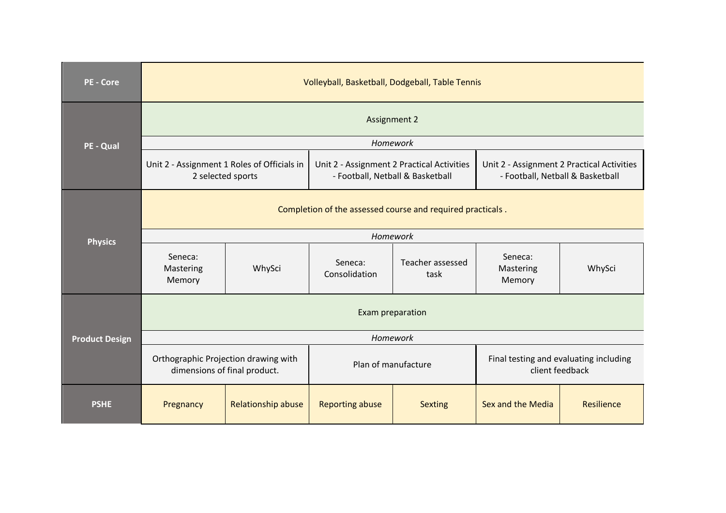| <b>PE - Core</b>      | Volleyball, Basketball, Dodgeball, Table Tennis                      |                    |                                                                                |                          |                                                                                |            |  |
|-----------------------|----------------------------------------------------------------------|--------------------|--------------------------------------------------------------------------------|--------------------------|--------------------------------------------------------------------------------|------------|--|
| PE - Qual             | <b>Assignment 2</b>                                                  |                    |                                                                                |                          |                                                                                |            |  |
|                       |                                                                      |                    | Homework                                                                       |                          |                                                                                |            |  |
|                       | Unit 2 - Assignment 1 Roles of Officials in<br>2 selected sports     |                    | Unit 2 - Assignment 2 Practical Activities<br>- Football, Netball & Basketball |                          | Unit 2 - Assignment 2 Practical Activities<br>- Football, Netball & Basketball |            |  |
|                       | Completion of the assessed course and required practicals.           |                    |                                                                                |                          |                                                                                |            |  |
| <b>Physics</b>        | Homework                                                             |                    |                                                                                |                          |                                                                                |            |  |
|                       | Seneca:<br>Mastering<br>Memory                                       | WhySci             | Seneca:<br>Consolidation                                                       | Teacher assessed<br>task | Seneca:<br>Mastering<br>Memory                                                 | WhySci     |  |
|                       | Exam preparation                                                     |                    |                                                                                |                          |                                                                                |            |  |
| <b>Product Design</b> | Homework                                                             |                    |                                                                                |                          |                                                                                |            |  |
|                       | Orthographic Projection drawing with<br>dimensions of final product. |                    | Plan of manufacture                                                            |                          | Final testing and evaluating including<br>client feedback                      |            |  |
| <b>PSHE</b>           | Pregnancy                                                            | Relationship abuse | <b>Reporting abuse</b>                                                         | <b>Sexting</b>           | Sex and the Media                                                              | Resilience |  |